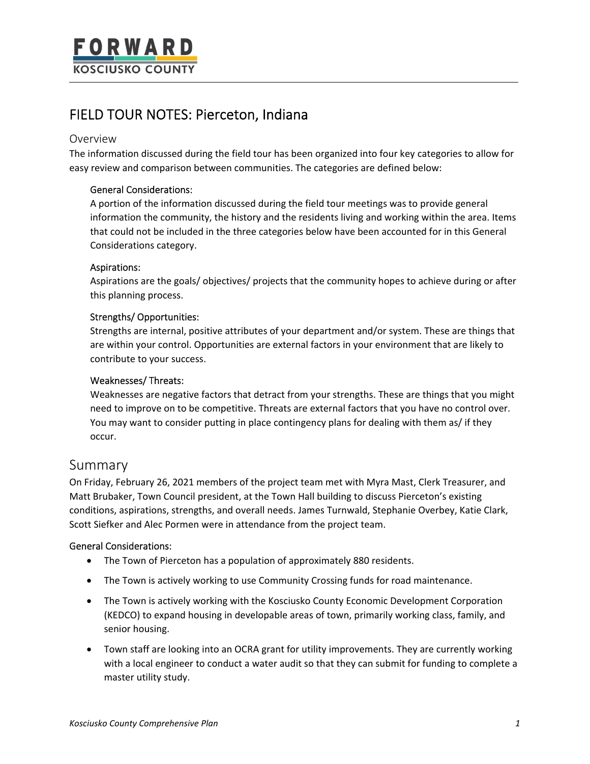# FIELD TOUR NOTES: Pierceton, Indiana

# Overview

The information discussed during the field tour has been organized into four key categories to allow for easy review and comparison between communities. The categories are defined below:

## General Considerations:

A portion of the information discussed during the field tour meetings was to provide general information the community, the history and the residents living and working within the area. Items that could not be included in the three categories below have been accounted for in this General Considerations category.

## Aspirations:

Aspirations are the goals/ objectives/ projects that the community hopes to achieve during or after this planning process.

## Strengths/ Opportunities:

Strengths are internal, positive attributes of your department and/or system. These are things that are within your control. Opportunities are external factors in your environment that are likely to contribute to your success.

### Weaknesses/ Threats:

Weaknesses are negative factors that detract from your strengths. These are things that you might need to improve on to be competitive. Threats are external factors that you have no control over. You may want to consider putting in place contingency plans for dealing with them as/ if they occur.

# Summary

On Friday, February 26, 2021 members of the project team met with Myra Mast, Clerk Treasurer, and Matt Brubaker, Town Council president, at the Town Hall building to discuss Pierceton's existing conditions, aspirations, strengths, and overall needs. James Turnwald, Stephanie Overbey, Katie Clark, Scott Siefker and Alec Pormen were in attendance from the project team.

## General Considerations:

- The Town of Pierceton has a population of approximately 880 residents.
- The Town is actively working to use Community Crossing funds for road maintenance.
- The Town is actively working with the Kosciusko County Economic Development Corporation (KEDCO) to expand housing in developable areas of town, primarily working class, family, and senior housing.
- Town staff are looking into an OCRA grant for utility improvements. They are currently working with a local engineer to conduct a water audit so that they can submit for funding to complete a master utility study.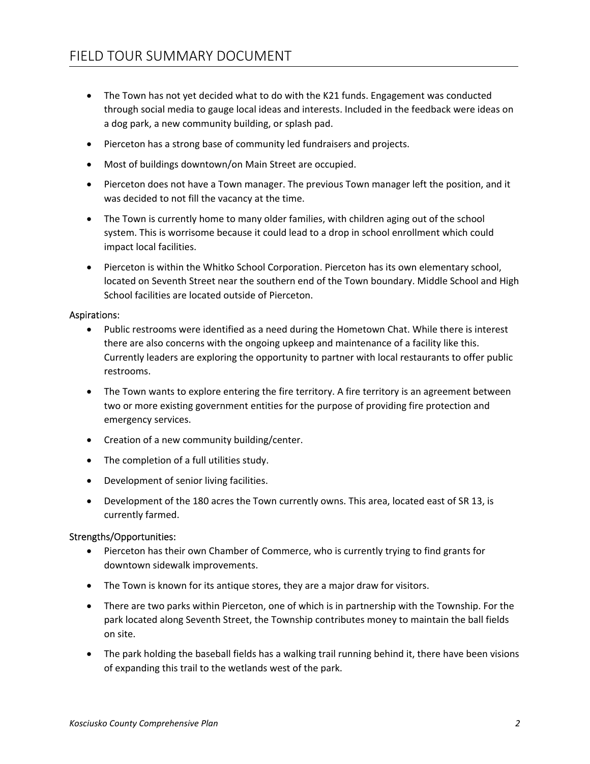- The Town has not yet decided what to do with the K21 funds. Engagement was conducted through social media to gauge local ideas and interests. Included in the feedback were ideas on a dog park, a new community building, or splash pad.
- Pierceton has a strong base of community led fundraisers and projects.
- Most of buildings downtown/on Main Street are occupied.
- Pierceton does not have a Town manager. The previous Town manager left the position, and it was decided to not fill the vacancy at the time.
- The Town is currently home to many older families, with children aging out of the school system. This is worrisome because it could lead to a drop in school enrollment which could impact local facilities.
- Pierceton is within the Whitko School Corporation. Pierceton has its own elementary school, located on Seventh Street near the southern end of the Town boundary. Middle School and High School facilities are located outside of Pierceton.

### Aspirations:

- Public restrooms were identified as a need during the Hometown Chat. While there is interest there are also concerns with the ongoing upkeep and maintenance of a facility like this. Currently leaders are exploring the opportunity to partner with local restaurants to offer public restrooms.
- The Town wants to explore entering the fire territory. A fire territory is an agreement between two or more existing government entities for the purpose of providing fire protection and emergency services.
- Creation of a new community building/center.
- The completion of a full utilities study.
- Development of senior living facilities.
- Development of the 180 acres the Town currently owns. This area, located east of SR 13, is currently farmed.

### Strengths/Opportunities:

- Pierceton has their own Chamber of Commerce, who is currently trying to find grants for downtown sidewalk improvements.
- The Town is known for its antique stores, they are a major draw for visitors.
- There are two parks within Pierceton, one of which is in partnership with the Township. For the park located along Seventh Street, the Township contributes money to maintain the ball fields on site.
- The park holding the baseball fields has a walking trail running behind it, there have been visions of expanding this trail to the wetlands west of the park.